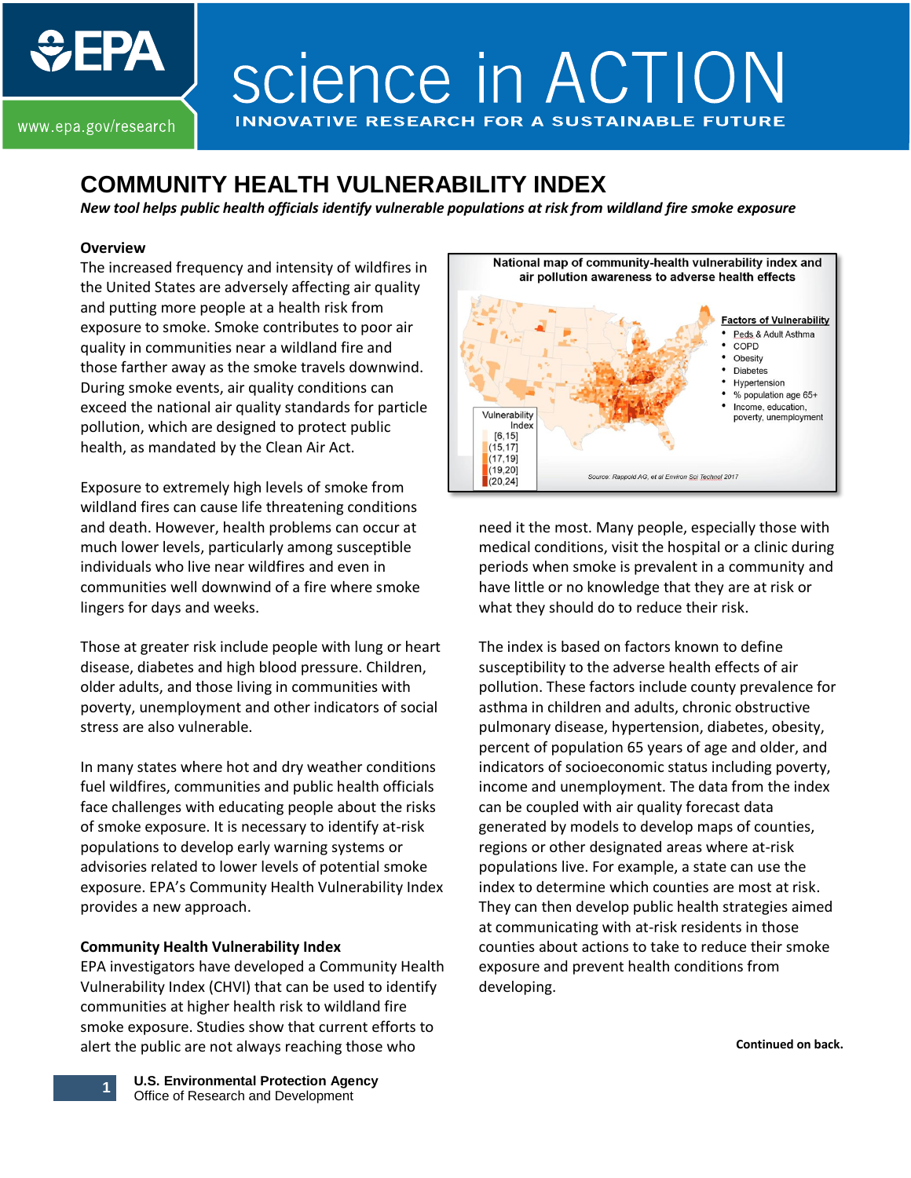# science in ACTION **INNOVATIVE RESEARCH FOR A SUSTAINABLE FUTI**

www.epa.gov/research

**JEPA** 

# **COMMUNITY HEALTH VULNERABILITY INDEX**

*New tool helps public health officials identify vulnerable populations at risk from wildland fire smoke exposure* 

#### **Overview**

The increased frequency and intensity of wildfires in the United States are adversely affecting air quality and putting more people at a health risk from exposure to smoke. Smoke contributes to poor air quality in communities near a wildland fire and those farther away as the smoke travels downwind. During smoke events, air quality conditions can exceed the national air quality standards for particle pollution, which are designed to protect public health, as mandated by the Clean Air Act.

Exposure to extremely high levels of smoke from wildland fires can cause life threatening conditions and death. However, health problems can occur at much lower levels, particularly among susceptible individuals who live near wildfires and even in communities well downwind of a fire where smoke lingers for days and weeks.

Those at greater risk include people with lung or heart disease, diabetes and high blood pressure. Children, older adults, and those living in communities with poverty, unemployment and other indicators of social stress are also vulnerable.

In many states where hot and dry weather conditions fuel wildfires, communities and public health officials face challenges with educating people about the risks of smoke exposure. It is necessary to identify at-risk populations to develop early warning systems or advisories related to lower levels of potential smoke exposure. EPA's Community Health Vulnerability Index provides a new approach.

## **Community Health Vulnerability Index**

EPA investigators have developed a Community Health Vulnerability Index (CHVI) that can be used to identify communities at higher health risk to wildland fire smoke exposure. Studies show that current efforts to alert the public are not always reaching those who



need it the most. Many people, especially those with medical conditions, visit the hospital or a clinic during periods when smoke is prevalent in a community and have little or no knowledge that they are at risk or what they should do to reduce their risk.

The index is based on factors known to define susceptibility to the adverse health effects of air pollution. These factors include county prevalence for asthma in children and adults, chronic obstructive pulmonary disease, hypertension, diabetes, obesity, percent of population 65 years of age and older, and indicators of socioeconomic status including poverty, income and unemployment. The data from the index can be coupled with air quality forecast data generated by models to develop maps of counties, regions or other designated areas where at-risk populations live. For example, a state can use the index to determine which counties are most at risk. They can then develop public health strategies aimed at communicating with at-risk residents in those counties about actions to take to reduce their smoke exposure and prevent health conditions from developing.

**Continued on back.**